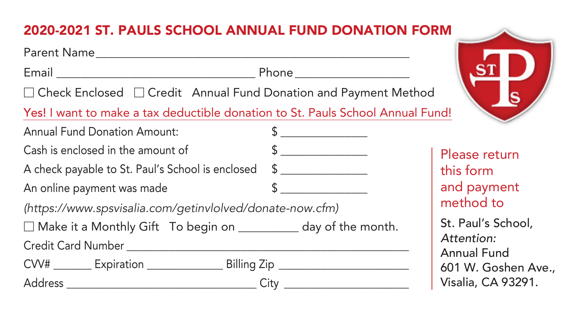## 2020-2021 ST. PAULS SCHOOL ANNUAL FUND DONATION FORM

| Parent Name and the contract of the contract of the contract of the contract of the contract of the contract of the contract of the contract of the contract of the contract of the contract of the contract of the contract o |              |                                  |  |
|--------------------------------------------------------------------------------------------------------------------------------------------------------------------------------------------------------------------------------|--------------|----------------------------------|--|
|                                                                                                                                                                                                                                |              |                                  |  |
| $\Box$ Check Enclosed $\Box$ Credit Annual Fund Donation and Payment Method                                                                                                                                                    |              |                                  |  |
| Yes! I want to make a tax deductible donation to St. Pauls School Annual Fund!                                                                                                                                                 |              |                                  |  |
| <b>Annual Fund Donation Amount:</b>                                                                                                                                                                                            | $\mathbb{S}$ |                                  |  |
| Cash is enclosed in the amount of                                                                                                                                                                                              | $\sim$       | Please return                    |  |
| A check payable to St. Paul's School is enclosed \$                                                                                                                                                                            |              | this form                        |  |
| An online payment was made                                                                                                                                                                                                     | $\sim$       | and payment                      |  |
| (https://www.spsvisalia.com/getinvlolved/donate-now.cfm)                                                                                                                                                                       |              | method to                        |  |
| □ Make it a Monthly Gift To begin on __________ day of the month.                                                                                                                                                              |              | St. Paul's School,               |  |
|                                                                                                                                                                                                                                |              | Attention:<br><b>Annual Fund</b> |  |
| CVV# _________ Expiration _______________________ Billing Zip __________________                                                                                                                                               |              | 601 W. Goshen Ave.,              |  |
|                                                                                                                                                                                                                                |              | Visalia, CA 93291.               |  |